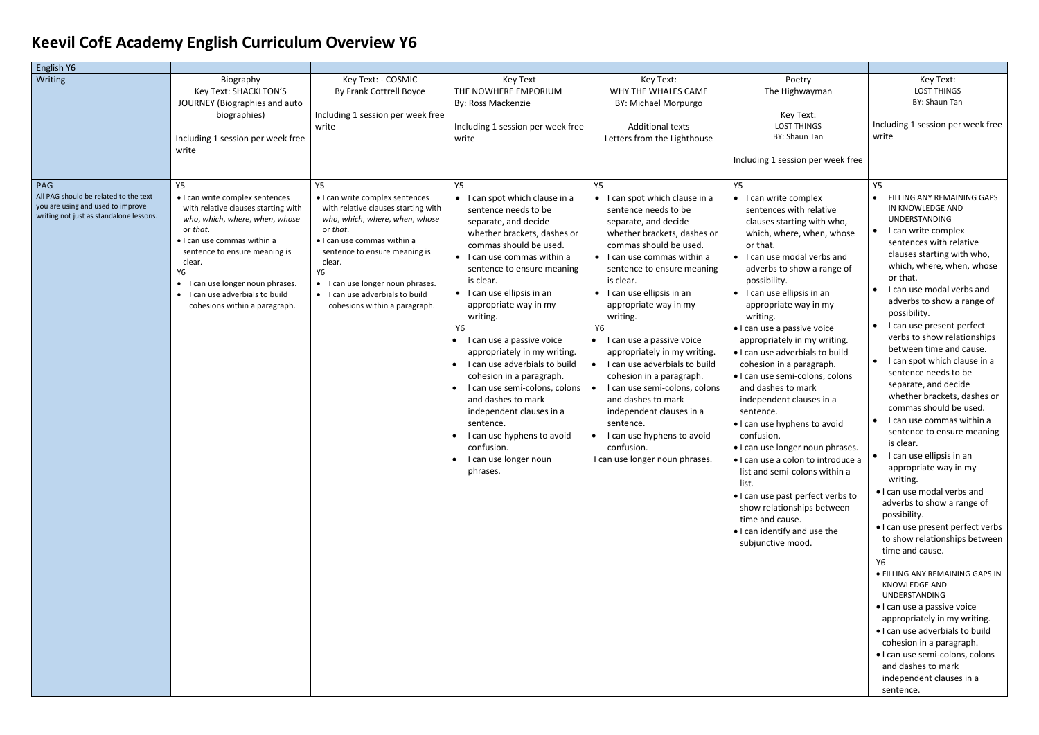## **Keevil CofE Academy English Curriculum Overview Y6**

| English Y6                                                                                                            |                                                                                                                                                                                                                                                                                                                         |                                                                                                                                                                                                                                                                                                              |                                                                                                                                                                                                                                                                                                                                                                                                                                                                                                                                                                                                       |                                                                                                                                                                                                                                                                                                                                                                                                                                                                                                                                                                                                              |                                                                                                                                                                                                                                                                                                                                                                                                                                                                                                                                                                                                                                                                                                                                                                                                                              |                                                                                                                                                                                                                                                                                                                                                                                                                                                                                                                                                                                                                                                                                                                                                                                                                                                                                                                                                                                                                                                                                                                                                                                                 |
|-----------------------------------------------------------------------------------------------------------------------|-------------------------------------------------------------------------------------------------------------------------------------------------------------------------------------------------------------------------------------------------------------------------------------------------------------------------|--------------------------------------------------------------------------------------------------------------------------------------------------------------------------------------------------------------------------------------------------------------------------------------------------------------|-------------------------------------------------------------------------------------------------------------------------------------------------------------------------------------------------------------------------------------------------------------------------------------------------------------------------------------------------------------------------------------------------------------------------------------------------------------------------------------------------------------------------------------------------------------------------------------------------------|--------------------------------------------------------------------------------------------------------------------------------------------------------------------------------------------------------------------------------------------------------------------------------------------------------------------------------------------------------------------------------------------------------------------------------------------------------------------------------------------------------------------------------------------------------------------------------------------------------------|------------------------------------------------------------------------------------------------------------------------------------------------------------------------------------------------------------------------------------------------------------------------------------------------------------------------------------------------------------------------------------------------------------------------------------------------------------------------------------------------------------------------------------------------------------------------------------------------------------------------------------------------------------------------------------------------------------------------------------------------------------------------------------------------------------------------------|-------------------------------------------------------------------------------------------------------------------------------------------------------------------------------------------------------------------------------------------------------------------------------------------------------------------------------------------------------------------------------------------------------------------------------------------------------------------------------------------------------------------------------------------------------------------------------------------------------------------------------------------------------------------------------------------------------------------------------------------------------------------------------------------------------------------------------------------------------------------------------------------------------------------------------------------------------------------------------------------------------------------------------------------------------------------------------------------------------------------------------------------------------------------------------------------------|
| <b>Writing</b><br>PAG                                                                                                 | Biography<br>Key Text: SHACKLTON'S<br>JOURNEY (Biographies and auto<br>biographies)<br>Including 1 session per week free<br>write<br>Y5                                                                                                                                                                                 | Key Text: - COSMIC<br>By Frank Cottrell Boyce<br>Including 1 session per week free<br>write<br><b>Y5</b>                                                                                                                                                                                                     | Key Text<br>THE NOWHERE EMPORIUM<br>By: Ross Mackenzie<br>Including 1 session per week free<br>write<br>Y5                                                                                                                                                                                                                                                                                                                                                                                                                                                                                            | Key Text:<br>WHY THE WHALES CAME<br>BY: Michael Morpurgo<br><b>Additional texts</b><br>Letters from the Lighthouse<br><b>Y5</b>                                                                                                                                                                                                                                                                                                                                                                                                                                                                              | Poetry<br>The Highwayman<br>Key Text:<br><b>LOST THINGS</b><br>BY: Shaun Tan<br>Including 1 session per week free<br>Y5                                                                                                                                                                                                                                                                                                                                                                                                                                                                                                                                                                                                                                                                                                      | Key Text:<br><b>LOST THINGS</b><br>BY: Shaun Tan<br>Including 1 session per week free<br>write<br><b>Y5</b>                                                                                                                                                                                                                                                                                                                                                                                                                                                                                                                                                                                                                                                                                                                                                                                                                                                                                                                                                                                                                                                                                     |
| All PAG should be related to the text<br>you are using and used to improve<br>writing not just as standalone lessons. | • I can write complex sentences<br>with relative clauses starting with<br>who, which, where, when, whose<br>or that.<br>• I can use commas within a<br>sentence to ensure meaning is<br>clear.<br>Y6<br>I can use longer noun phrases.<br>$\bullet$<br>• I can use adverbials to build<br>cohesions within a paragraph. | • I can write complex sentences<br>with relative clauses starting with<br>who, which, where, when, whose<br>or that.<br>• I can use commas within a<br>sentence to ensure meaning is<br>clear.<br>Y6<br>• I can use longer noun phrases.<br>• I can use adverbials to build<br>cohesions within a paragraph. | • I can spot which clause in a<br>sentence needs to be<br>separate, and decide<br>whether brackets, dashes or<br>commas should be used.<br>• I can use commas within a<br>sentence to ensure meaning<br>is clear.<br>• I can use ellipsis in an<br>appropriate way in my<br>writing.<br>Υ6<br>I can use a passive voice<br>appropriately in my writing.<br>I can use adverbials to build<br>cohesion in a paragraph.<br>I can use semi-colons, colons<br>and dashes to mark<br>independent clauses in a<br>sentence.<br>I can use hyphens to avoid<br>confusion.<br>I can use longer noun<br>phrases. | • I can spot which clause in a<br>sentence needs to be<br>separate, and decide<br>whether brackets, dashes or<br>commas should be used.<br>• I can use commas within a<br>sentence to ensure meaning<br>is clear.<br>• I can use ellipsis in an<br>appropriate way in my<br>writing.<br>Υ6<br>$\bullet$ I can use a passive voice<br>appropriately in my writing.<br>I can use adverbials to build<br>cohesion in a paragraph.<br>I can use semi-colons, colons<br>and dashes to mark<br>independent clauses in a<br>sentence.<br>I can use hyphens to avoid<br>confusion.<br>I can use longer noun phrases. | • I can write complex<br>sentences with relative<br>clauses starting with who,<br>which, where, when, whose<br>or that.<br>• I can use modal verbs and<br>adverbs to show a range of<br>possibility.<br>$\bullet$ I can use ellipsis in an<br>appropriate way in my<br>writing.<br>· I can use a passive voice<br>appropriately in my writing.<br>. I can use adverbials to build<br>cohesion in a paragraph.<br>· I can use semi-colons, colons<br>and dashes to mark<br>independent clauses in a<br>sentence.<br>. I can use hyphens to avoid<br>confusion.<br>• I can use longer noun phrases.<br>· I can use a colon to introduce a<br>list and semi-colons within a<br>list.<br>. I can use past perfect verbs to<br>show relationships between<br>time and cause.<br>• I can identify and use the<br>subjunctive mood. | FILLING ANY REMAINING GAPS<br>IN KNOWLEDGE AND<br><b>UNDERSTANDING</b><br>I can write complex<br>$\bullet$<br>sentences with relative<br>clauses starting with who,<br>which, where, when, whose<br>or that.<br>I can use modal verbs and<br>adverbs to show a range of<br>possibility.<br>I can use present perfect<br>$\bullet$<br>verbs to show relationships<br>between time and cause.<br>I can spot which clause in a<br>$\bullet$<br>sentence needs to be<br>separate, and decide<br>whether brackets, dashes or<br>commas should be used.<br>I can use commas within a<br>$\bullet$<br>sentence to ensure meaning<br>is clear.<br>I can use ellipsis in an<br>appropriate way in my<br>writing.<br>. I can use modal verbs and<br>adverbs to show a range of<br>possibility.<br>• I can use present perfect verbs<br>to show relationships between<br>time and cause.<br>Υ6<br>· FILLING ANY REMAINING GAPS IN<br><b>KNOWLEDGE AND</b><br>UNDERSTANDING<br>• I can use a passive voice<br>appropriately in my writing.<br>. I can use adverbials to build<br>cohesion in a paragraph.<br>· I can use semi-colons, colons<br>and dashes to mark<br>independent clauses in a<br>sentence. |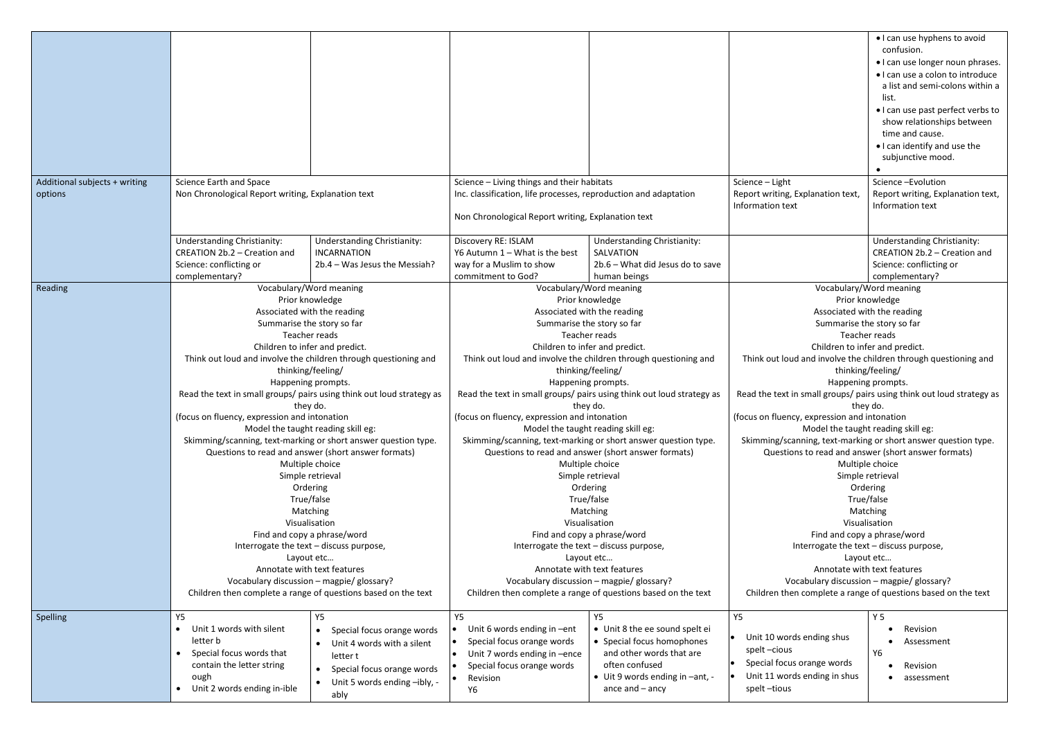|                                          |                                                                                                                                |                                                                                                                                                                      |                                                                                   |                                                                          | • I can use hyphens to avoid<br>confusion.<br>• I can use longer noun phrases.<br>• I can use a colon to introduce<br>a list and semi-colons within a<br>list.<br>• I can use past perfect verbs to<br>show relationships between<br>time and cause.<br>• I can identify and use the<br>subjunctive mood. |
|------------------------------------------|--------------------------------------------------------------------------------------------------------------------------------|----------------------------------------------------------------------------------------------------------------------------------------------------------------------|-----------------------------------------------------------------------------------|--------------------------------------------------------------------------|-----------------------------------------------------------------------------------------------------------------------------------------------------------------------------------------------------------------------------------------------------------------------------------------------------------|
| Additional subjects + writing<br>options | Science Earth and Space<br>Non Chronological Report writing, Explanation text                                                  | Science - Living things and their habitats<br>Inc. classification, life processes, reproduction and adaptation<br>Non Chronological Report writing, Explanation text |                                                                                   | Science - Light<br>Report writing, Explanation text,<br>Information text | Science-Evolution<br>Report writing, Explanation text,<br>Information text                                                                                                                                                                                                                                |
|                                          | <b>Understanding Christianity:</b><br><b>Understanding Christianity:</b><br>CREATION 2b.2 - Creation and<br><b>INCARNATION</b> | Discovery RE: ISLAM<br>Y6 Autumn $1 -$ What is the best                                                                                                              | <b>Understanding Christianity:</b><br>SALVATION                                   |                                                                          | <b>Understanding Christianity:</b><br>CREATION 2b.2 - Creation and                                                                                                                                                                                                                                        |
|                                          | Science: conflicting or<br>2b.4 - Was Jesus the Messiah?                                                                       | way for a Muslim to show<br>commitment to God?                                                                                                                       | 2b.6 - What did Jesus do to save                                                  |                                                                          | Science: conflicting or                                                                                                                                                                                                                                                                                   |
| Reading                                  | complementary?<br>Vocabulary/Word meaning                                                                                      |                                                                                                                                                                      | human beings<br>Vocabulary/Word meaning                                           |                                                                          | complementary?<br>Vocabulary/Word meaning                                                                                                                                                                                                                                                                 |
|                                          | Prior knowledge                                                                                                                |                                                                                                                                                                      | Prior knowledge                                                                   |                                                                          | Prior knowledge                                                                                                                                                                                                                                                                                           |
|                                          | Associated with the reading                                                                                                    |                                                                                                                                                                      | Associated with the reading                                                       |                                                                          | Associated with the reading                                                                                                                                                                                                                                                                               |
|                                          | Summarise the story so far                                                                                                     |                                                                                                                                                                      | Summarise the story so far                                                        |                                                                          | Summarise the story so far                                                                                                                                                                                                                                                                                |
|                                          | Teacher reads                                                                                                                  |                                                                                                                                                                      | Teacher reads                                                                     |                                                                          | Teacher reads                                                                                                                                                                                                                                                                                             |
|                                          | Children to infer and predict.                                                                                                 |                                                                                                                                                                      | Children to infer and predict.                                                    |                                                                          | Children to infer and predict.                                                                                                                                                                                                                                                                            |
|                                          | Think out loud and involve the children through questioning and                                                                |                                                                                                                                                                      | Think out loud and involve the children through questioning and                   |                                                                          | Think out loud and involve the children through questioning and                                                                                                                                                                                                                                           |
|                                          | thinking/feeling/                                                                                                              |                                                                                                                                                                      | thinking/feeling/                                                                 |                                                                          | thinking/feeling/                                                                                                                                                                                                                                                                                         |
|                                          | Happening prompts.                                                                                                             |                                                                                                                                                                      | Happening prompts.                                                                |                                                                          | Happening prompts.                                                                                                                                                                                                                                                                                        |
|                                          | Read the text in small groups/ pairs using think out loud strategy as<br>they do.                                              |                                                                                                                                                                      | Read the text in small groups/ pairs using think out loud strategy as<br>they do. |                                                                          | Read the text in small groups/ pairs using think out loud strategy as<br>they do.                                                                                                                                                                                                                         |
|                                          | (focus on fluency, expression and intonation                                                                                   | (focus on fluency, expression and intonation                                                                                                                         |                                                                                   | (focus on fluency, expression and intonation                             |                                                                                                                                                                                                                                                                                                           |
|                                          | Model the taught reading skill eg:                                                                                             |                                                                                                                                                                      | Model the taught reading skill eg:                                                |                                                                          | Model the taught reading skill eg:                                                                                                                                                                                                                                                                        |
|                                          | Skimming/scanning, text-marking or short answer question type.                                                                 |                                                                                                                                                                      | Skimming/scanning, text-marking or short answer question type.                    |                                                                          | Skimming/scanning, text-marking or short answer question type.                                                                                                                                                                                                                                            |
|                                          | Questions to read and answer (short answer formats)                                                                            |                                                                                                                                                                      | Questions to read and answer (short answer formats)                               |                                                                          | Questions to read and answer (short answer formats)                                                                                                                                                                                                                                                       |
|                                          | Multiple choice                                                                                                                |                                                                                                                                                                      | Multiple choice                                                                   |                                                                          | Multiple choice                                                                                                                                                                                                                                                                                           |
|                                          | Simple retrieval                                                                                                               |                                                                                                                                                                      | Simple retrieval                                                                  |                                                                          | Simple retrieval                                                                                                                                                                                                                                                                                          |
|                                          | Ordering                                                                                                                       |                                                                                                                                                                      | Ordering                                                                          |                                                                          | Ordering                                                                                                                                                                                                                                                                                                  |
|                                          | True/false                                                                                                                     |                                                                                                                                                                      | True/false                                                                        |                                                                          | True/false                                                                                                                                                                                                                                                                                                |
|                                          | Matching                                                                                                                       |                                                                                                                                                                      | Matching                                                                          |                                                                          | Matching                                                                                                                                                                                                                                                                                                  |
|                                          | Visualisation                                                                                                                  |                                                                                                                                                                      | Visualisation                                                                     |                                                                          | Visualisation                                                                                                                                                                                                                                                                                             |
|                                          | Find and copy a phrase/word                                                                                                    |                                                                                                                                                                      | Find and copy a phrase/word                                                       |                                                                          | Find and copy a phrase/word                                                                                                                                                                                                                                                                               |
|                                          | Interrogate the text - discuss purpose,                                                                                        |                                                                                                                                                                      | Interrogate the text - discuss purpose,                                           |                                                                          | Interrogate the text - discuss purpose,                                                                                                                                                                                                                                                                   |
|                                          | Layout etc                                                                                                                     |                                                                                                                                                                      | Layout etc                                                                        |                                                                          | Layout etc                                                                                                                                                                                                                                                                                                |
|                                          | Annotate with text features                                                                                                    |                                                                                                                                                                      | Annotate with text features<br>Vocabulary discussion - magpie/ glossary?          |                                                                          | Annotate with text features                                                                                                                                                                                                                                                                               |
|                                          | Vocabulary discussion - magpie/ glossary?<br>Children then complete a range of questions based on the text                     |                                                                                                                                                                      | Children then complete a range of questions based on the text                     |                                                                          | Vocabulary discussion - magpie/ glossary?<br>Children then complete a range of questions based on the text                                                                                                                                                                                                |
|                                          |                                                                                                                                |                                                                                                                                                                      |                                                                                   |                                                                          |                                                                                                                                                                                                                                                                                                           |
| Spelling                                 | <b>Y5</b><br>Y5                                                                                                                | Y5                                                                                                                                                                   | <b>Y5</b>                                                                         | Y5                                                                       | <b>Y5</b>                                                                                                                                                                                                                                                                                                 |
|                                          | Unit 1 words with silent<br>Special focus orange words                                                                         | Unit 6 words ending in -ent                                                                                                                                          | • Unit 8 the ee sound spelt ei                                                    |                                                                          | Revision                                                                                                                                                                                                                                                                                                  |
|                                          | letter b<br>Unit 4 words with a silent                                                                                         | Special focus orange words<br>$\bullet$                                                                                                                              | • Special focus homophones                                                        | Unit 10 words ending shus                                                | Assessment                                                                                                                                                                                                                                                                                                |
|                                          | Special focus words that<br>letter t                                                                                           | Unit 7 words ending in -ence                                                                                                                                         | and other words that are                                                          | spelt-cious                                                              | Y6                                                                                                                                                                                                                                                                                                        |
|                                          | contain the letter string<br>Special focus orange words<br>$\bullet$                                                           | Special focus orange words                                                                                                                                           | often confused                                                                    | Special focus orange words                                               | • Revision                                                                                                                                                                                                                                                                                                |
|                                          | ough<br>Unit 5 words ending -ibly, -<br>$\bullet$                                                                              | Revision<br>$\bullet$                                                                                                                                                | $\bullet$ Uit 9 words ending in $-$ ant, -                                        | Unit 11 words ending in shus                                             | assessment                                                                                                                                                                                                                                                                                                |
|                                          | Unit 2 words ending in-ible<br>ably                                                                                            | Y6                                                                                                                                                                   | ance and $-$ ancy                                                                 | spelt-tious                                                              |                                                                                                                                                                                                                                                                                                           |